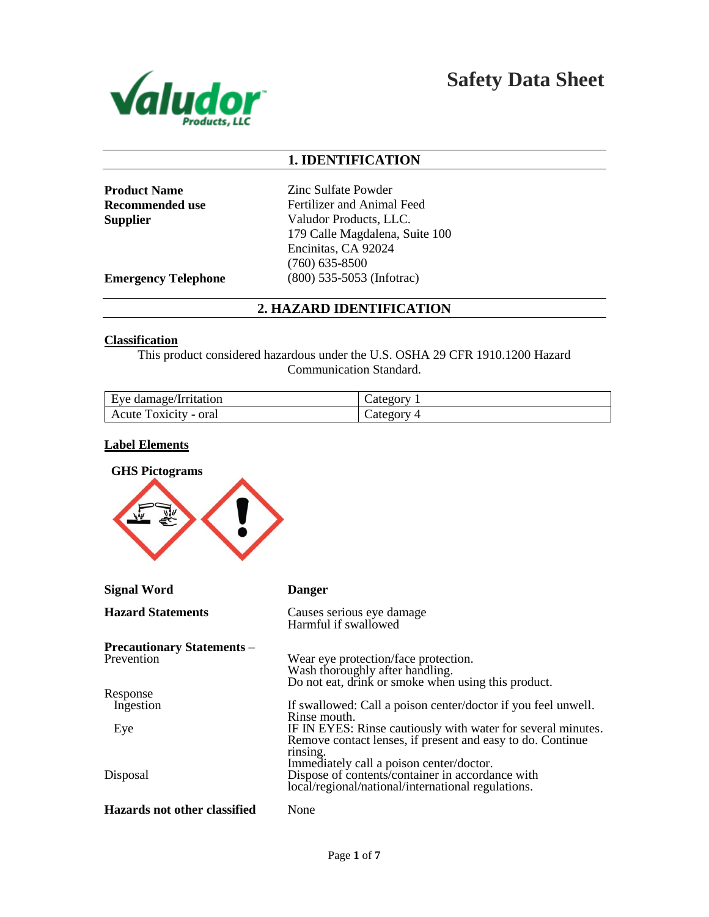

**Safety Data Sheet**

# **1. IDENTIFICATION**

**Product Name** Zinc Sulfate Powder **Recommended use** Fertilizer and Animal Feed **Supplier** Valudor Products, LLC. 179 Calle Magdalena, Suite 100 Encinitas, CA 92024 (760) 635-8500 **Emergency Telephone** (800) 535-5053 (Infotrac)

# **2. HAZARD IDENTIFICATION**

#### **Classification**

This product considered hazardous under the U.S. OSHA 29 CFR 1910.1200 Hazard Communication Standard.

| Eye damage/Irritation | $\mathcal{L}$ ategory |
|-----------------------|-----------------------|
| Acute Toxicity - oral | $\angle$ ategory 4    |

## **Label Elements**

| <b>GHS Pictograms</b>                           |                                                                                                                                                                                    |  |
|-------------------------------------------------|------------------------------------------------------------------------------------------------------------------------------------------------------------------------------------|--|
| <b>Signal Word</b>                              | <b>Danger</b>                                                                                                                                                                      |  |
| <b>Hazard Statements</b>                        | Causes serious eye damage<br>Harmful if swallowed                                                                                                                                  |  |
| <b>Precautionary Statements –</b><br>Prevention | Wear eye protection/face protection.<br>Wash thoroughly after handling.<br>Do not eat, drink or smoke when using this product.                                                     |  |
| Response<br>Ingestion                           | If swallowed: Call a poison center/doctor if you feel unwell.<br>Rinse mouth.                                                                                                      |  |
| Eye                                             | IF IN EYES: Rinse cautiously with water for several minutes.<br>Remove contact lenses, if present and easy to do. Continue<br>rinsing.<br>Immediately call a poison center/doctor. |  |
| Disposal                                        | Dispose of contents/container in accordance with<br>local/regional/national/international regulations.                                                                             |  |
| <b>Hazards not other classified</b>             | None                                                                                                                                                                               |  |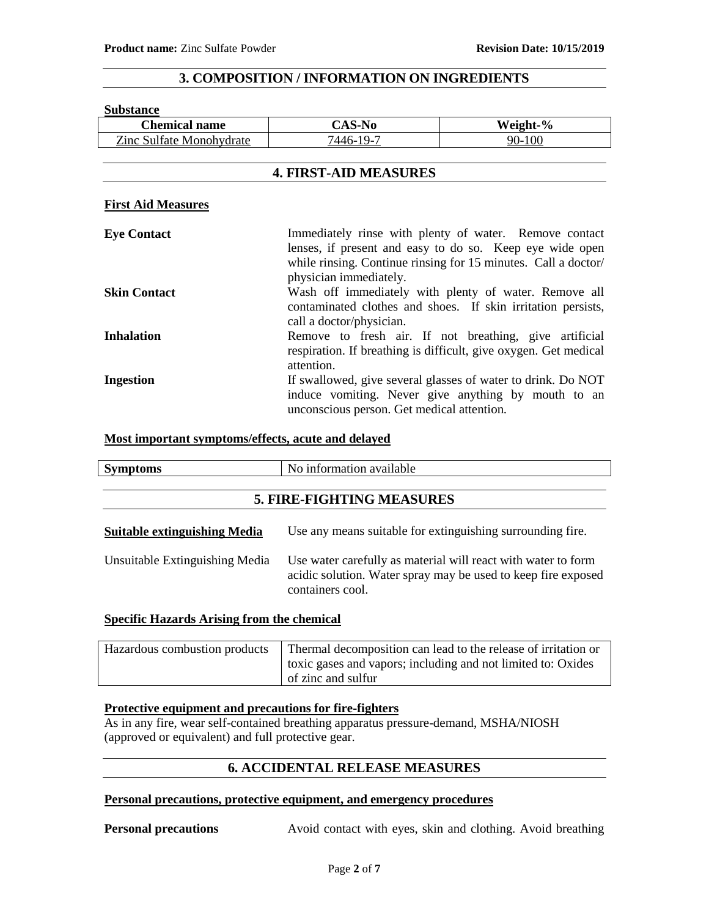# **3. COMPOSITION / INFORMATION ON INGREDIENTS**

#### **Substance**

| <b>Chemical name</b>            | <b>CAS-No</b>                              | Weight-%                                                                                                                                                                             |
|---------------------------------|--------------------------------------------|--------------------------------------------------------------------------------------------------------------------------------------------------------------------------------------|
| <b>Zinc Sulfate Monohydrate</b> | 7446-19-7                                  | 90-100                                                                                                                                                                               |
|                                 |                                            |                                                                                                                                                                                      |
| <b>4. FIRST-AID MEASURES</b>    |                                            |                                                                                                                                                                                      |
| <b>First Aid Measures</b>       |                                            |                                                                                                                                                                                      |
| <b>Eye Contact</b>              | physician immediately.                     | Immediately rinse with plenty of water. Remove contact<br>lenses, if present and easy to do so. Keep eye wide open<br>while rinsing. Continue rinsing for 15 minutes. Call a doctor/ |
| <b>Skin Contact</b>             | call a doctor/physician.                   | Wash off immediately with plenty of water. Remove all<br>contaminated clothes and shoes. If skin irritation persists,                                                                |
| <b>Inhalation</b>               | attention.                                 | Remove to fresh air. If not breathing, give artificial<br>respiration. If breathing is difficult, give oxygen. Get medical                                                           |
| <b>Ingestion</b>                | unconscious person. Get medical attention. | If swallowed, give several glasses of water to drink. Do NOT<br>induce vomiting. Never give anything by mouth to an                                                                  |

# **Most important symptoms/effects, acute and delayed**

| <b>Symptoms</b>                     | No information available                                                                                                                           |
|-------------------------------------|----------------------------------------------------------------------------------------------------------------------------------------------------|
| <b>5. FIRE-FIGHTING MEASURES</b>    |                                                                                                                                                    |
| <b>Suitable extinguishing Media</b> | Use any means suitable for extinguishing surrounding fire.                                                                                         |
| Unsuitable Extinguishing Media      | Use water carefully as material will react with water to form<br>acidic solution. Water spray may be used to keep fire exposed<br>containers cool. |

#### **Specific Hazards Arising from the chemical**

| Hazardous combustion products | Thermal decomposition can lead to the release of irritation or |
|-------------------------------|----------------------------------------------------------------|
|                               | toxic gases and vapors; including and not limited to: Oxides   |
|                               | of zinc and sulfur                                             |

# **Protective equipment and precautions for fire-fighters**

As in any fire, wear self-contained breathing apparatus pressure-demand, MSHA/NIOSH (approved or equivalent) and full protective gear.

# **6. ACCIDENTAL RELEASE MEASURES**

#### **Personal precautions, protective equipment, and emergency procedures**

**Personal precautions** Avoid contact with eyes, skin and clothing. Avoid breathing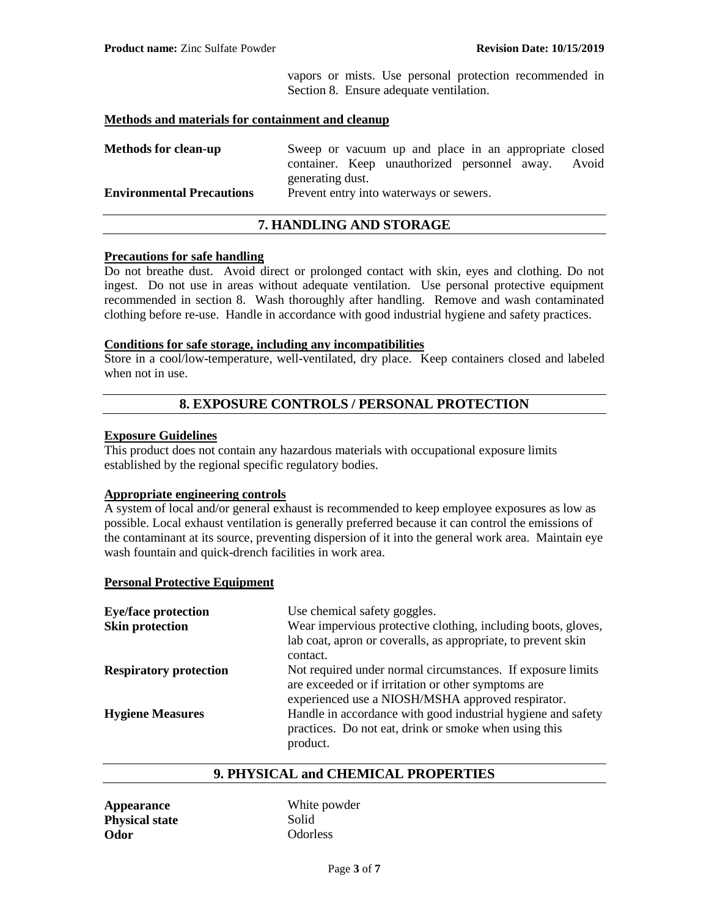vapors or mists. Use personal protection recommended in Section 8. Ensure adequate ventilation.

#### **Methods and materials for containment and cleanup**

| <b>Methods for clean-up</b>      | Sweep or vacuum up and place in an appropriate closed<br>container. Keep unauthorized personnel away.<br>Avoid |
|----------------------------------|----------------------------------------------------------------------------------------------------------------|
| <b>Environmental Precautions</b> | generating dust.<br>Prevent entry into waterways or sewers.                                                    |

## **7. HANDLING AND STORAGE**

#### **Precautions for safe handling**

Do not breathe dust. Avoid direct or prolonged contact with skin, eyes and clothing. Do not ingest. Do not use in areas without adequate ventilation. Use personal protective equipment recommended in section 8. Wash thoroughly after handling. Remove and wash contaminated clothing before re-use. Handle in accordance with good industrial hygiene and safety practices.

# **Conditions for safe storage, including any incompatibilities**

Store in a cool/low-temperature, well-ventilated, dry place. Keep containers closed and labeled when not in use.

# **8. EXPOSURE CONTROLS / PERSONAL PROTECTION**

#### **Exposure Guidelines**

This product does not contain any hazardous materials with occupational exposure limits established by the regional specific regulatory bodies.

#### **Appropriate engineering controls**

A system of local and/or general exhaust is recommended to keep employee exposures as low as possible. Local exhaust ventilation is generally preferred because it can control the emissions of the contaminant at its source, preventing dispersion of it into the general work area. Maintain eye wash fountain and quick-drench facilities in work area.

#### **Personal Protective Equipment**

| <b>Eye/face protection</b><br><b>Skin protection</b> | Use chemical safety goggles.<br>Wear impervious protective clothing, including boots, gloves,<br>lab coat, apron or coveralls, as appropriate, to prevent skin<br>contact. |
|------------------------------------------------------|----------------------------------------------------------------------------------------------------------------------------------------------------------------------------|
| <b>Respiratory protection</b>                        | Not required under normal circumstances. If exposure limits<br>are exceeded or if irritation or other symptoms are<br>experienced use a NIOSH/MSHA approved respirator.    |
| <b>Hygiene Measures</b>                              | Handle in accordance with good industrial hygiene and safety<br>practices. Do not eat, drink or smoke when using this<br>product.                                          |

# **9. PHYSICAL and CHEMICAL PROPERTIES**

| <b>Appearance</b>     |  |
|-----------------------|--|
| <b>Physical state</b> |  |
| Odor)                 |  |

White powder **Physical state** Solid **Odor** Odorless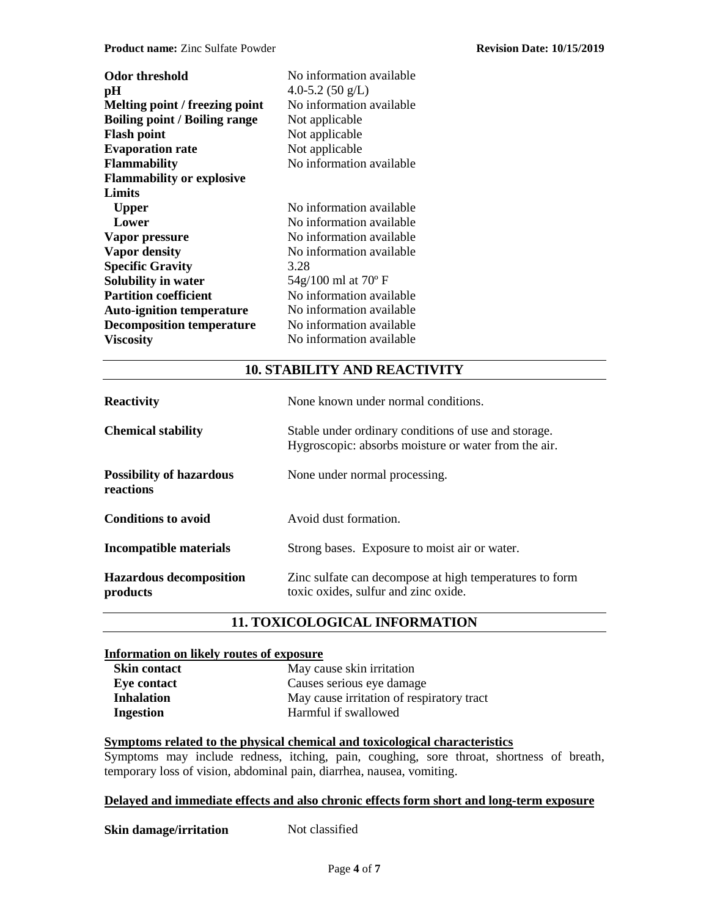| <b>Odor threshold</b><br>pН<br>Melting point / freezing point<br><b>Boiling point / Boiling range</b><br><b>Flash point</b><br><b>Evaporation rate</b><br><b>Flammability</b><br><b>Flammability or explosive</b><br>Limits | No information available<br>4.0-5.2 $(50 \text{ g/L})$<br>No information available<br>Not applicable<br>Not applicable<br>Not applicable<br>No information available |
|-----------------------------------------------------------------------------------------------------------------------------------------------------------------------------------------------------------------------------|----------------------------------------------------------------------------------------------------------------------------------------------------------------------|
| <b>Upper</b>                                                                                                                                                                                                                | No information available                                                                                                                                             |
| Lower                                                                                                                                                                                                                       | No information available                                                                                                                                             |
| Vapor pressure                                                                                                                                                                                                              | No information available                                                                                                                                             |
| <b>Vapor density</b>                                                                                                                                                                                                        | No information available                                                                                                                                             |
| <b>Specific Gravity</b>                                                                                                                                                                                                     | 3.28                                                                                                                                                                 |
| Solubility in water                                                                                                                                                                                                         | 54g/100 ml at 70° F                                                                                                                                                  |
| <b>Partition coefficient</b>                                                                                                                                                                                                | No information available                                                                                                                                             |
| <b>Auto-ignition temperature</b>                                                                                                                                                                                            | No information available                                                                                                                                             |
| <b>Decomposition temperature</b>                                                                                                                                                                                            | No information available                                                                                                                                             |
| <b>Viscosity</b>                                                                                                                                                                                                            | No information available                                                                                                                                             |

# **10. STABILITY AND REACTIVITY**

| <b>Reactivity</b>                            | None known under normal conditions.                                                                          |
|----------------------------------------------|--------------------------------------------------------------------------------------------------------------|
| <b>Chemical stability</b>                    | Stable under ordinary conditions of use and storage.<br>Hygroscopic: absorbs moisture or water from the air. |
| <b>Possibility of hazardous</b><br>reactions | None under normal processing.                                                                                |
| <b>Conditions to avoid</b>                   | Avoid dust formation.                                                                                        |
| Incompatible materials                       | Strong bases. Exposure to moist air or water.                                                                |
| <b>Hazardous decomposition</b><br>products   | Zinc sulfate can decompose at high temperatures to form<br>toxic oxides, sulfur and zinc oxide.              |

# **11. TOXICOLOGICAL INFORMATION**

### **Information on likely routes of exposure**

| <b>Skin contact</b> | May cause skin irritation                 |
|---------------------|-------------------------------------------|
| Eye contact         | Causes serious eye damage                 |
| Inhalation          | May cause irritation of respiratory tract |
| Ingestion           | Harmful if swallowed                      |

# **Symptoms related to the physical chemical and toxicological characteristics**

Symptoms may include redness, itching, pain, coughing, sore throat, shortness of breath, temporary loss of vision, abdominal pain, diarrhea, nausea, vomiting.

### **Delayed and immediate effects and also chronic effects form short and long-term exposure**

### **Skin damage/irritation** Not classified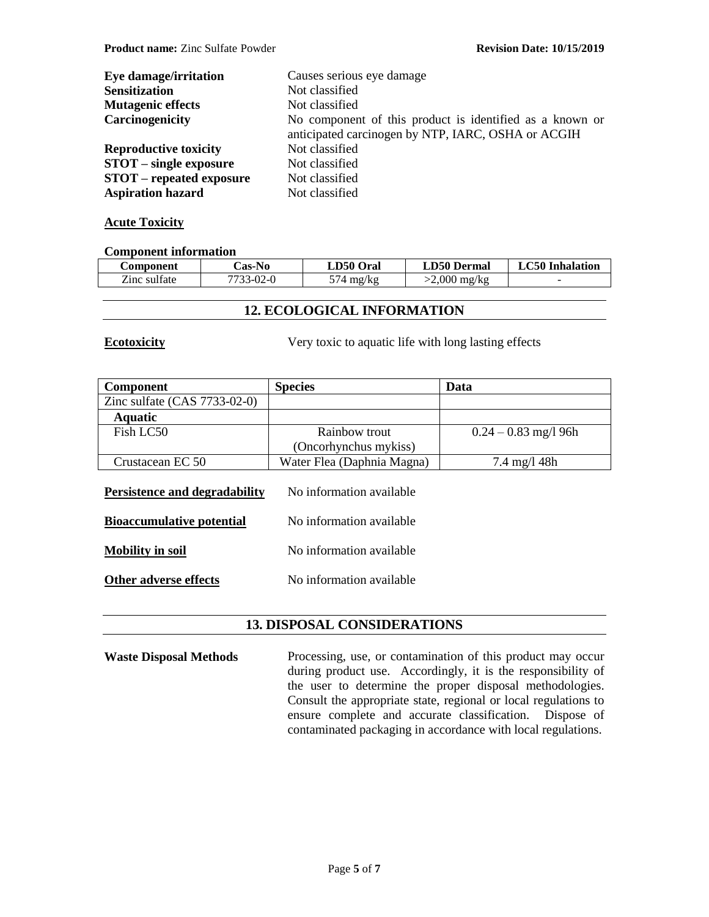| Eye damage/irritation           | Causes serious eye damage                                                                                      |
|---------------------------------|----------------------------------------------------------------------------------------------------------------|
| <b>Sensitization</b>            | Not classified                                                                                                 |
| <b>Mutagenic effects</b>        | Not classified                                                                                                 |
| Carcinogenicity                 | No component of this product is identified as a known or<br>anticipated carcinogen by NTP, IARC, OSHA or ACGIH |
| <b>Reproductive toxicity</b>    | Not classified                                                                                                 |
| $STOT$ – single exposure        | Not classified                                                                                                 |
| <b>STOT</b> – repeated exposure | Not classified                                                                                                 |
| <b>Aspiration hazard</b>        | Not classified                                                                                                 |

# **Acute Toxicity**

#### **Component information**

| <b>Component</b> | <b>Cas-No</b> | LD50 Oral   | <b>LD50 Dermal</b> | C50 Inhalation<br>LΛ |
|------------------|---------------|-------------|--------------------|----------------------|
| Zinc sulfate     | 7733-02-0     | mg/kg<br>14 | >2.000 mg/kg       | -                    |

# **12. ECOLOGICAL INFORMATION**

**Ecotoxicity** Very toxic to aquatic life with long lasting effects

| <b>Component</b>                                                  | <b>Species</b>                                       | Data                   |
|-------------------------------------------------------------------|------------------------------------------------------|------------------------|
| Zinc sulfate $(CAS 7733-02-0)$                                    |                                                      |                        |
| <b>Aquatic</b>                                                    |                                                      |                        |
| Fish LC50                                                         | Rainbow trout                                        | $0.24 - 0.83$ mg/l 96h |
|                                                                   | (Oncorhynchus mykiss)                                |                        |
| Crustacean EC 50                                                  | Water Flea (Daphnia Magna)                           | 7.4 mg/l 48h           |
| Persistence and degradability<br><b>Bioaccumulative potential</b> | No information available<br>No information available |                        |
|                                                                   |                                                      |                        |
| <b>Mobility in soil</b>                                           | No information available                             |                        |
| Other adverse effects                                             | No information available                             |                        |

# **13. DISPOSAL CONSIDERATIONS**

Waste Disposal Methods Processing, use, or contamination of this product may occur during product use. Accordingly, it is the responsibility of the user to determine the proper disposal methodologies. Consult the appropriate state, regional or local regulations to ensure complete and accurate classification. Dispose of contaminated packaging in accordance with local regulations.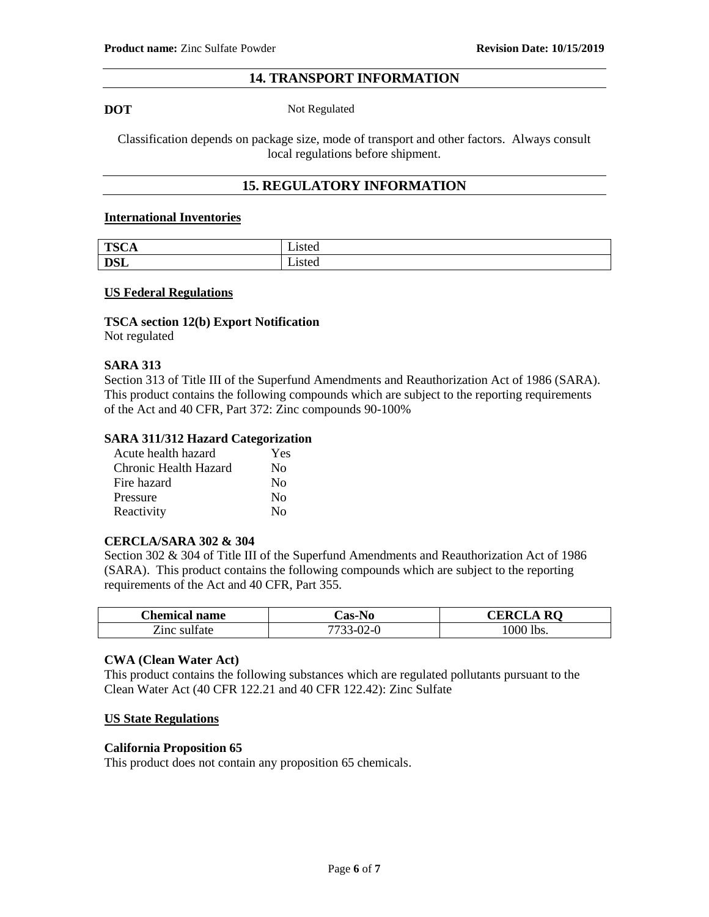# **14. TRANSPORT INFORMATION**

**DOT** Not Regulated

Classification depends on package size, mode of transport and other factors. Always consult local regulations before shipment.

# **15. REGULATORY INFORMATION**

#### **International Inventories**

| TCC         | $\rightarrow$ $\rightarrow$ $\rightarrow$ $\rightarrow$ |
|-------------|---------------------------------------------------------|
| <b>LUUA</b> | Listeti                                                 |
| net         | - .                                                     |
| <b>D</b> OL | Lısted                                                  |

#### **US Federal Regulations**

# **TSCA section 12(b) Export Notification**

Not regulated

#### **SARA 313**

Section 313 of Title III of the Superfund Amendments and Reauthorization Act of 1986 (SARA). This product contains the following compounds which are subject to the reporting requirements of the Act and 40 CFR, Part 372: Zinc compounds 90-100%

#### **SARA 311/312 Hazard Categorization**

| Acute health hazard   | Yes          |
|-----------------------|--------------|
| Chronic Health Hazard | $\rm No$     |
| Fire hazard           | No           |
| Pressure              | No           |
| Reactivity            | $N_{\Omega}$ |

#### **CERCLA/SARA 302 & 304**

Section 302 & 304 of Title III of the Superfund Amendments and Reauthorization Act of 1986 (SARA). This product contains the following compounds which are subject to the reporting requirements of the Act and 40 CFR, Part 355.

| <b>Chemical name</b> | <b>Cas-No</b> | <b>CERCL</b><br>$\mathcal{L}$ A RO |
|----------------------|---------------|------------------------------------|
| Zinc sulfate         | 7733-02-0     | 1000 lbs.                          |

#### **CWA (Clean Water Act)**

This product contains the following substances which are regulated pollutants pursuant to the Clean Water Act (40 CFR 122.21 and 40 CFR 122.42): Zinc Sulfate

#### **US State Regulations**

#### **California Proposition 65**

This product does not contain any proposition 65 chemicals.